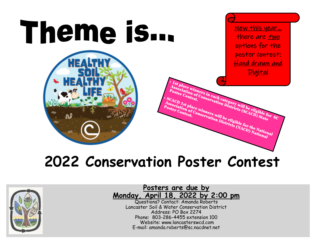

# **2022 Conservation Poster Contest**



**Posters are due by Monday, April 18, 2022 by 2:00 pm**

Questions? Contact: Amanda Roberts Lancaster Soil & Water Conservation District Address: PO Box 2274 Phone: 803-286-4455 extension 100 Website: www.lancasterswcd.com E-mail: amanda.roberts@sc.nacdnet.net